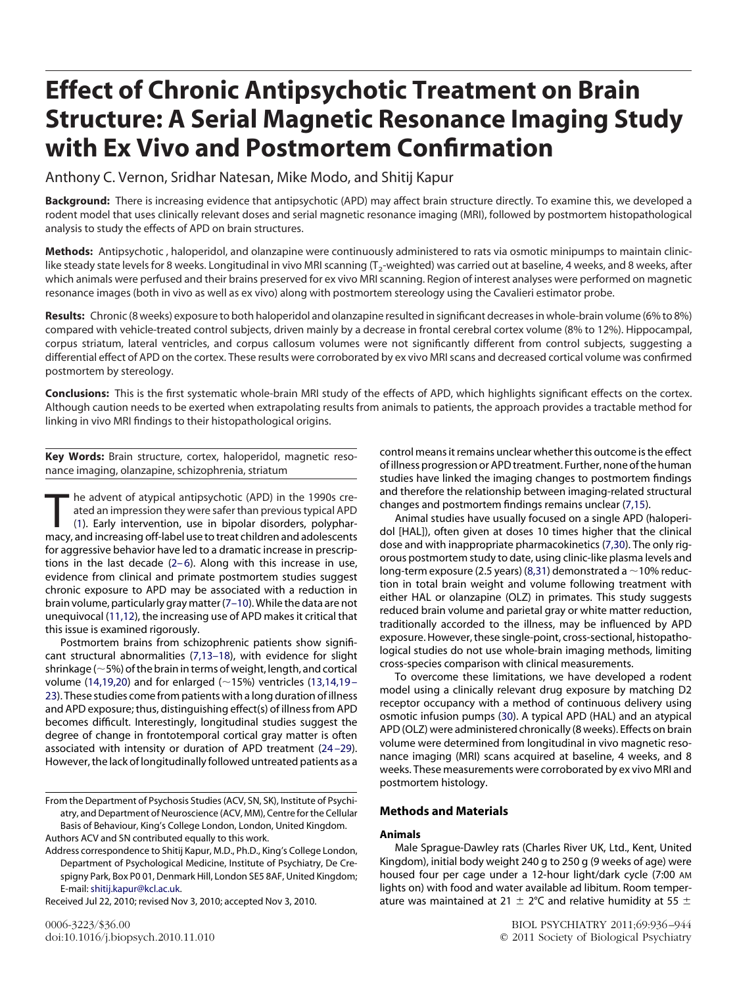# **Effect of Chronic Antipsychotic Treatment on Brain Structure: A Serial Magnetic Resonance Imaging Study with Ex Vivo and Postmortem Confirmation**

Anthony C. Vernon, Sridhar Natesan, Mike Modo, and Shitij Kapur

**Background:** There is increasing evidence that antipsychotic (APD) may affect brain structure directly. To examine this, we developed a rodent model that uses clinically relevant doses and serial magnetic resonance imaging (MRI), followed by postmortem histopathological analysis to study the effects of APD on brain structures.

**Methods:** Antipsychotic , haloperidol, and olanzapine were continuously administered to rats via osmotic minipumps to maintain cliniclike steady state levels for 8 weeks. Longitudinal in vivo MRI scanning ( $T_2$ -weighted) was carried out at baseline, 4 weeks, and 8 weeks, after which animals were perfused and their brains preserved for ex vivo MRI scanning. Region of interest analyses were performed on magnetic resonance images (both in vivo as well as ex vivo) along with postmortem stereology using the Cavalieri estimator probe.

**Results:** Chronic (8 weeks) exposure to both haloperidol and olanzapine resulted in significant decreases in whole-brain volume (6% to 8%) compared with vehicle-treated control subjects, driven mainly by a decrease in frontal cerebral cortex volume (8% to 12%). Hippocampal, corpus striatum, lateral ventricles, and corpus callosum volumes were not significantly different from control subjects, suggesting a differential effect of APD on the cortex. These results were corroborated by ex vivo MRI scans and decreased cortical volume was confirmed postmortem by stereology.

**Conclusions:** This is the first systematic whole-brain MRI study of the effects of APD, which highlights significant effects on the cortex. Although caution needs to be exerted when extrapolating results from animals to patients, the approach provides a tractable method for linking in vivo MRI findings to their histopathological origins.

**Key Words:** Brain structure, cortex, haloperidol, magnetic resonance imaging, olanzapine, schizophrenia, striatum

The advent of atypical antipsychotic (APD) in the 1990s cre-<br>ated an impression they were safer than previous typical APD<br>(1). Early intervention, use in bipolar disorders, polyphar-<br>macy and increasing off-label use to tr ated an impression they were safer than previous typical APD (1). Early intervention, use in bipolar disorders, polypharmacy, and increasing off-label use to treat children and adolescents for aggressive behavior have led to a dramatic increase in prescriptions in the last decade  $(2-6)$ . Along with this increase in use, evidence from clinical and primate postmortem studies suggest chronic exposure to APD may be associated with a reduction in brain volume, particularly gray matter (7–10). While the data are not unequivocal (11,12), the increasing use of APD makes it critical that this issue is examined rigorously.

Postmortem brains from schizophrenic patients show significant structural abnormalities (7,13–18), with evidence for slight shrinkage ( $\sim$  5%) of the brain in terms of weight, length, and cortical volume (14,19,20) and for enlarged ( $\sim$ 15%) ventricles (13,14,19 – 23). These studies come from patients with a long duration of illness and APD exposure; thus, distinguishing effect(s) of illness from APD becomes difficult. Interestingly, longitudinal studies suggest the degree of change in frontotemporal cortical gray matter is often associated with intensity or duration of APD treatment (24 –29). However, the lack of longitudinally followed untreated patients as a

Received Jul 22, 2010; revised Nov 3, 2010; accepted Nov 3, 2010.

control means it remains unclear whether this outcome is the effect of illness progression or APD treatment. Further, none of the human studies have linked the imaging changes to postmortem findings and therefore the relationship between imaging-related structural changes and postmortem findings remains unclear (7,15).

Animal studies have usually focused on a single APD (haloperidol [HAL]), often given at doses 10 times higher that the clinical dose and with inappropriate pharmacokinetics (7,30). The only rigorous postmortem study to date, using clinic-like plasma levels and long-term exposure (2.5 years) (8,31) demonstrated a  $\sim$  10% reduction in total brain weight and volume following treatment with either HAL or olanzapine (OLZ) in primates. This study suggests reduced brain volume and parietal gray or white matter reduction, traditionally accorded to the illness, may be influenced by APD exposure. However, these single-point, cross-sectional, histopathological studies do not use whole-brain imaging methods, limiting cross-species comparison with clinical measurements.

To overcome these limitations, we have developed a rodent model using a clinically relevant drug exposure by matching D2 receptor occupancy with a method of continuous delivery using osmotic infusion pumps (30). A typical APD (HAL) and an atypical APD (OLZ) were administered chronically (8 weeks). Effects on brain volume were determined from longitudinal in vivo magnetic resonance imaging (MRI) scans acquired at baseline, 4 weeks, and 8 weeks. These measurements were corroborated by ex vivo MRI and postmortem histology.

# **Methods and Materials**

# **Animals**

Male Sprague-Dawley rats (Charles River UK, Ltd., Kent, United Kingdom), initial body weight 240 g to 250 g (9 weeks of age) were housed four per cage under a 12-hour light/dark cycle (7:00 AM lights on) with food and water available ad libitum. Room temperature was maintained at 21  $\pm$  2°C and relative humidity at 55  $\pm$ 

From the Department of Psychosis Studies (ACV, SN, SK), Institute of Psychiatry, and Department of Neuroscience (ACV, MM), Centre for the Cellular Basis of Behaviour, King's College London, London, United Kingdom. Authors ACV and SN contributed equally to this work.

Address correspondence to Shitij Kapur, M.D., Ph.D., King's College London, Department of Psychological Medicine, Institute of Psychiatry, De Crespigny Park, Box P0 01, Denmark Hill, London SE5 8AF, United Kingdom; E-mail: [shitij.kapur@kcl.ac.uk.](mailto:shitij.kapur@kcl.ac.uk)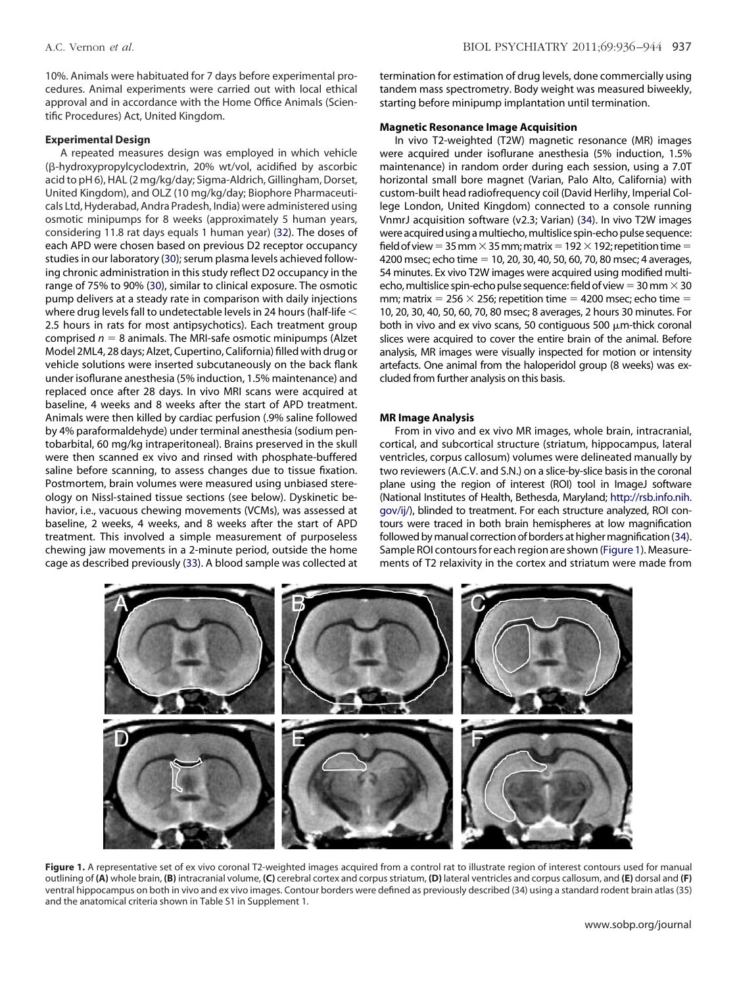10%. Animals were habituated for 7 days before experimental procedures. Animal experiments were carried out with local ethical approval and in accordance with the Home Office Animals (Scientific Procedures) Act, United Kingdom.

#### **Experimental Design**

A repeated measures design was employed in which vehicle (B-hydroxypropylcyclodextrin, 20% wt/vol, acidified by ascorbic acid to pH 6), HAL (2 mg/kg/day; Sigma-Aldrich, Gillingham, Dorset, United Kingdom), and OLZ (10 mg/kg/day; Biophore Pharmaceuticals Ltd, Hyderabad, Andra Pradesh, India) were administered using osmotic minipumps for 8 weeks (approximately 5 human years, considering 11.8 rat days equals 1 human year) (32). The doses of each APD were chosen based on previous D2 receptor occupancy studies in our laboratory (30); serum plasma levels achieved following chronic administration in this study reflect D2 occupancy in the range of 75% to 90% (30), similar to clinical exposure. The osmotic pump delivers at a steady rate in comparison with daily injections where drug levels fall to undetectable levels in 24 hours (half-life  $<$ 2.5 hours in rats for most antipsychotics). Each treatment group comprised  $n = 8$  animals. The MRI-safe osmotic minipumps (Alzet Model 2ML4, 28 days; Alzet, Cupertino, California) filled with drug or vehicle solutions were inserted subcutaneously on the back flank under isoflurane anesthesia (5% induction, 1.5% maintenance) and replaced once after 28 days. In vivo MRI scans were acquired at baseline, 4 weeks and 8 weeks after the start of APD treatment. Animals were then killed by cardiac perfusion (.9% saline followed by 4% paraformaldehyde) under terminal anesthesia (sodium pentobarbital, 60 mg/kg intraperitoneal). Brains preserved in the skull were then scanned ex vivo and rinsed with phosphate-buffered saline before scanning, to assess changes due to tissue fixation. Postmortem, brain volumes were measured using unbiased stereology on Nissl-stained tissue sections (see below). Dyskinetic behavior, i.e., vacuous chewing movements (VCMs), was assessed at baseline, 2 weeks, 4 weeks, and 8 weeks after the start of APD treatment. This involved a simple measurement of purposeless chewing jaw movements in a 2-minute period, outside the home cage as described previously (33). A blood sample was collected at termination for estimation of drug levels, done commercially using tandem mass spectrometry. Body weight was measured biweekly, starting before minipump implantation until termination.

## **Magnetic Resonance Image Acquisition**

In vivo T2-weighted (T2W) magnetic resonance (MR) images were acquired under isoflurane anesthesia (5% induction, 1.5% maintenance) in random order during each session, using a 7.0T horizontal small bore magnet (Varian, Palo Alto, California) with custom-built head radiofrequency coil (David Herlihy, Imperial College London, United Kingdom) connected to a console running VnmrJ acquisition software (v2.3; Varian) (34). In vivo T2W images were acquired using a multiecho, multislice spin-echo pulse sequence: field of view = 35 mm  $\times$  35 mm; matrix = 192  $\times$  192; repetition time = 4200 msec; echo time = 10, 20, 30, 40, 50, 60, 70, 80 msec; 4 averages, 54 minutes. Ex vivo T2W images were acquired using modified multiecho, multislice spin-echo pulse sequence: field of view = 30 mm  $\times$  30 mm; matrix = 256  $\times$  256; repetition time = 4200 msec; echo time = 10, 20, 30, 40, 50, 60, 70, 80 msec; 8 averages, 2 hours 30 minutes. For both in vivo and ex vivo scans, 50 contiguous 500  $\mu$ m-thick coronal slices were acquired to cover the entire brain of the animal. Before analysis, MR images were visually inspected for motion or intensity artefacts. One animal from the haloperidol group (8 weeks) was excluded from further analysis on this basis.

# **MR Image Analysis**

From in vivo and ex vivo MR images, whole brain, intracranial, cortical, and subcortical structure (striatum, hippocampus, lateral ventricles, corpus callosum) volumes were delineated manually by two reviewers (A.C.V. and S.N.) on a slice-by-slice basis in the coronal plane using the region of interest (ROI) tool in ImageJ software (National Institutes of Health, Bethesda, Maryland; [http://rsb.info.nih.](http://rsb.info.nih.gov/ij/) [gov/ij/\)](http://rsb.info.nih.gov/ij/), blinded to treatment. For each structure analyzed, ROI contours were traced in both brain hemispheres at low magnification followed by manual correction of borders at higher magnification (34). Sample ROI contoursfor each region are shown (Figure 1). Measurements of T2 relaxivity in the cortex and striatum were made from



Figure 1. A representative set of ex vivo coronal T2-weighted images acquired from a control rat to illustrate region of interest contours used for manual outlining of **(A)** whole brain, **(B)** intracranial volume, **(C)** cerebral cortex and corpus striatum, **(D)** lateral ventricles and corpus callosum, and **(E)** dorsal and **(F)** ventral hippocampus on both in vivo and ex vivo images. Contour borders were defined as previously described (34) using a standard rodent brain atlas (35) and the anatomical criteria shown in Table S1 in Supplement 1.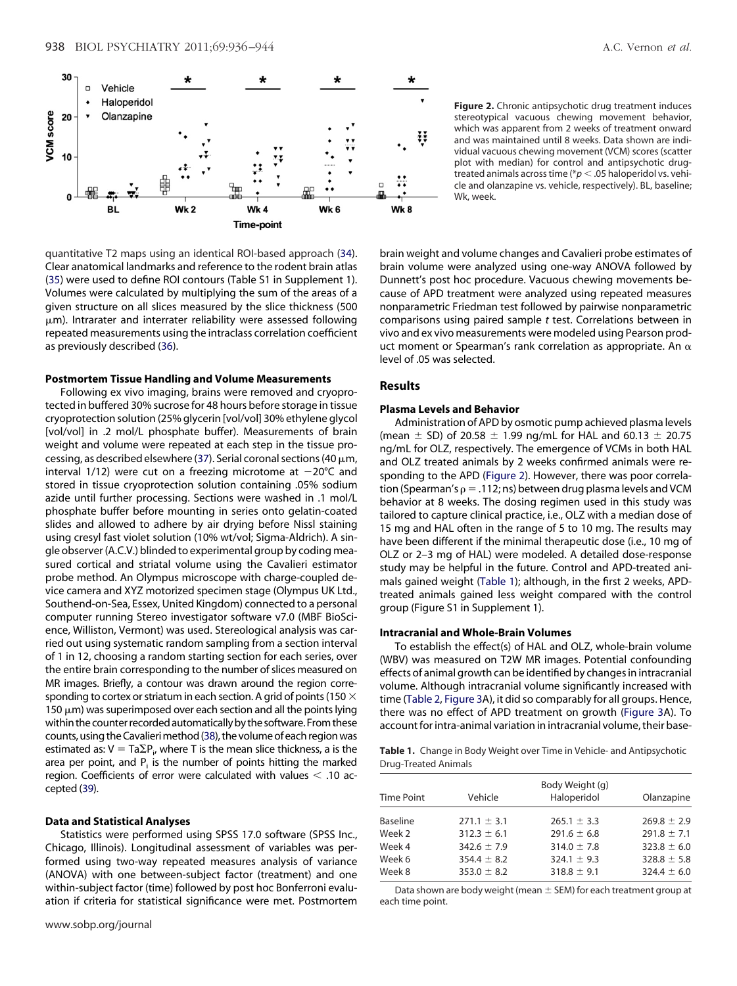

quantitative T2 maps using an identical ROI-based approach (34). Clear anatomical landmarks and reference to the rodent brain atlas (35) were used to define ROI contours (Table S1 in Supplement 1). Volumes were calculated by multiplying the sum of the areas of a given structure on all slices measured by the slice thickness (500  $\mu$ m). Intrarater and interrater reliability were assessed following repeated measurements using the intraclass correlation coefficient as previously described (36).

# **Postmortem Tissue Handling and Volume Measurements**

Following ex vivo imaging, brains were removed and cryoprotected in buffered 30% sucrose for 48 hours before storage in tissue cryoprotection solution (25% glycerin [vol/vol] 30% ethylene glycol [vol/vol] in .2 mol/L phosphate buffer). Measurements of brain weight and volume were repeated at each step in the tissue processing, as described elsewhere (37). Serial coronal sections (40  $\mu$ m, interval 1/12) were cut on a freezing microtome at  $-20^{\circ}$ C and stored in tissue cryoprotection solution containing .05% sodium azide until further processing. Sections were washed in .1 mol/L phosphate buffer before mounting in series onto gelatin-coated slides and allowed to adhere by air drying before Nissl staining using cresyl fast violet solution (10% wt/vol; Sigma-Aldrich). A single observer (A.C.V.) blinded to experimental group by coding measured cortical and striatal volume using the Cavalieri estimator probe method. An Olympus microscope with charge-coupled device camera and XYZ motorized specimen stage (Olympus UK Ltd., Southend-on-Sea, Essex, United Kingdom) connected to a personal computer running Stereo investigator software v7.0 (MBF BioScience, Williston, Vermont) was used. Stereological analysis was carried out using systematic random sampling from a section interval of 1 in 12, choosing a random starting section for each series, over the entire brain corresponding to the number of slices measured on MR images. Briefly, a contour was drawn around the region corresponding to cortex or striatum in each section. A grid of points (150  $\times$ 150  $\mu$ m) was superimposed over each section and all the points lying within the counter recorded automatically by the software. From these counts, using the Cavalieri method (38), the volume of each region was estimated as:  $V = Ta\Sigma P_i$ , where T is the mean slice thickness, a is the area per point, and  $P_i$  is the number of points hitting the marked region. Coefficients of error were calculated with values  $<$  .10 accepted (39).

#### **Data and Statistical Analyses**

Statistics were performed using SPSS 17.0 software (SPSS Inc., Chicago, Illinois). Longitudinal assessment of variables was performed using two-way repeated measures analysis of variance (ANOVA) with one between-subject factor (treatment) and one within-subject factor (time) followed by post hoc Bonferroni evaluation if criteria for statistical significance were met. Postmortem

**Figure 2.** Chronic antipsychotic drug treatment induces stereotypical vacuous chewing movement behavior, which was apparent from 2 weeks of treatment onward and was maintained until 8 weeks. Data shown are individual vacuous chewing movement (VCM) scores (scatter plot with median) for control and antipsychotic drugtreated animals across time (\*p < .05 haloperidol vs. vehicle and olanzapine vs. vehicle, respectively). BL, baseline; Wk, week.

brain weight and volume changes and Cavalieri probe estimates of brain volume were analyzed using one-way ANOVA followed by Dunnett's post hoc procedure. Vacuous chewing movements because of APD treatment were analyzed using repeated measures nonparametric Friedman test followed by pairwise nonparametric comparisons using paired sample *t* test. Correlations between in vivo and ex vivo measurements were modeled using Pearson product moment or Spearman's rank correlation as appropriate. An  $\alpha$ level of .05 was selected.

# **Results**

# **Plasma Levels and Behavior**

Administration of APD by osmotic pump achieved plasma levels (mean  $\pm$  SD) of 20.58  $\pm$  1.99 ng/mL for HAL and 60.13  $\pm$  20.75 ng/mL for OLZ, respectively. The emergence of VCMs in both HAL and OLZ treated animals by 2 weeks confirmed animals were responding to the APD (Figure 2). However, there was poor correlation (Spearman's  $\rho = 0.112$ ; ns) between drug plasma levels and VCM behavior at 8 weeks. The dosing regimen used in this study was tailored to capture clinical practice, i.e., OLZ with a median dose of 15 mg and HAL often in the range of 5 to 10 mg. The results may have been different if the minimal therapeutic dose (i.e., 10 mg of OLZ or 2–3 mg of HAL) were modeled. A detailed dose-response study may be helpful in the future. Control and APD-treated animals gained weight (Table 1); although, in the first 2 weeks, APDtreated animals gained less weight compared with the control group (Figure S1 in Supplement 1).

# **Intracranial and Whole-Brain Volumes**

To establish the effect(s) of HAL and OLZ, whole-brain volume (WBV) was measured on T2W MR images. Potential confounding effects of animal growth can be identified by changes in intracranial volume. Although intracranial volume significantly increased with time (Table 2, Figure 3A), it did so comparably for all groups. Hence, there was no effect of APD treatment on growth (Figure 3A). To account for intra-animal variation in intracranial volume, their base-

**Table 1.** Change in Body Weight over Time in Vehicle- and Antipsychotic Drug-Treated Animals

| <b>Time Point</b> | Vehicle                            | Body Weight (g)<br>Haloperidol     | Olanzapine                         |
|-------------------|------------------------------------|------------------------------------|------------------------------------|
| <b>Baseline</b>   | $271.1 \pm 3.1$                    | $265.1 \pm 3.3$                    | $269.8 \pm 2.9$                    |
| Week 2            | $312.3 \pm 6.1$                    | $291.6 \pm 6.8$                    | $291.8 \pm 7.1$                    |
| Week 4            | $342.6 \pm 7.9$                    | $314.0 \pm 7.8$                    | $323.8 \pm 6.0$                    |
| Week 6<br>Week 8  | $354.4 \pm 8.2$<br>$353.0 \pm 8.2$ | $324.1 \pm 9.3$<br>$318.8 \pm 9.1$ | $328.8 \pm 5.8$<br>$324.4 \pm 6.0$ |

Data shown are body weight (mean  $\pm$  SEM) for each treatment group at each time point.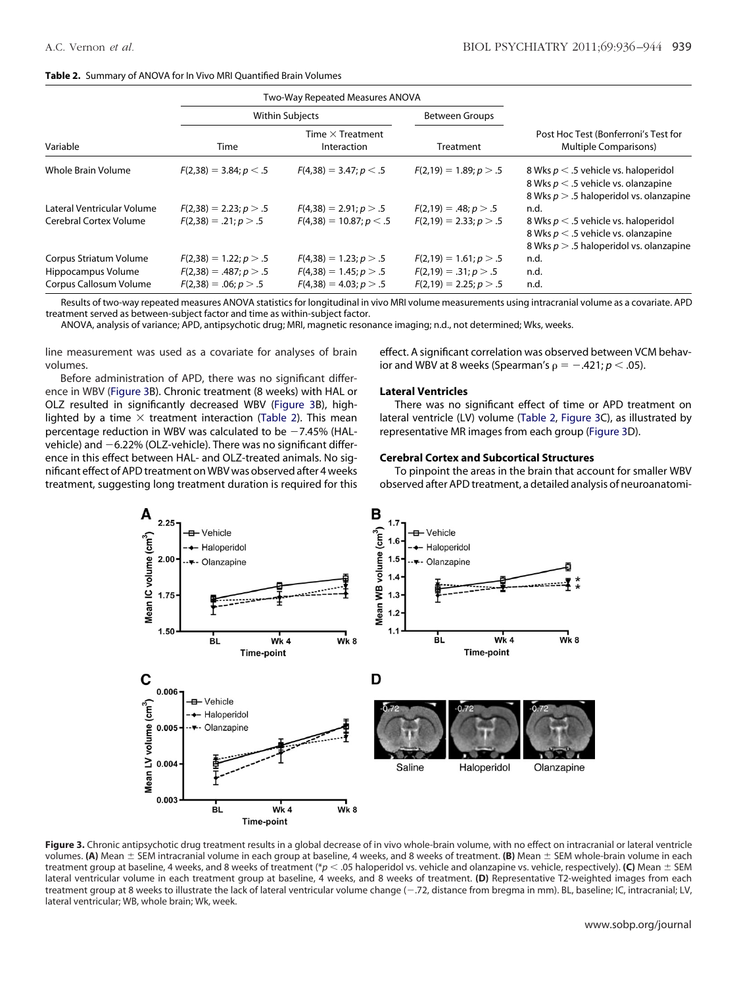#### **Table 2.** Summary of ANOVA for In Vivo MRI Quantified Brain Volumes

|                            | Two-Way Repeated Measures ANOVA |                                        |                          |                                                                                                                                 |  |
|----------------------------|---------------------------------|----------------------------------------|--------------------------|---------------------------------------------------------------------------------------------------------------------------------|--|
|                            | <b>Within Subjects</b>          |                                        | <b>Between Groups</b>    |                                                                                                                                 |  |
| Variable                   | Time                            | Time $\times$ Treatment<br>Interaction | <b>Treatment</b>         | Post Hoc Test (Bonferroni's Test for<br>Multiple Comparisons)                                                                   |  |
| Whole Brain Volume         | $F(2,38) = 3.84; p < .5$        | $F(4,38) = 3.47; p < .5$               | $F(2,19) = 1.89; p > .5$ | 8 Wks $p < 0.5$ vehicle vs. haloperidol<br>8 Wks $p < 0.5$ vehicle vs. olanzapine<br>8 Wks $p > 0.5$ haloperidol vs. olanzapine |  |
| Lateral Ventricular Volume | $F(2,38) = 2.23$ ; $p > .5$     | $F(4,38) = 2.91; p > .5$               | $F(2,19) = .48; p > .5$  | n.d.                                                                                                                            |  |
| Cerebral Cortex Volume     | $F(2,38) = .21; p > .5$         | $F(4,38) = 10.87; p < .5$              | $F(2,19) = 2.33; p > .5$ | 8 Wks $p < 0.5$ vehicle vs. haloperidol<br>8 Wks $p < 0.5$ vehicle vs. olanzapine<br>8 Wks $p > 0.5$ haloperidol vs. olanzapine |  |
| Corpus Striatum Volume     | $F(2,38) = 1.22; p > .5$        | $F(4,38) = 1.23$ ; $p > .5$            | $F(2,19) = 1.61; p > .5$ | n.d.                                                                                                                            |  |
| Hippocampus Volume         | $F(2,38) = .487; p > .5$        | $F(4,38) = 1.45; p > .5$               | $F(2,19) = .31; p > .5$  | n.d.                                                                                                                            |  |
| Corpus Callosum Volume     | $F(2,38) = .06; p > .5$         | $F(4,38) = 4.03; p > .5$               | $F(2,19) = 2.25; p > .5$ | n.d.                                                                                                                            |  |

Results of two-way repeated measures ANOVA statistics for longitudinal in vivo MRI volume measurements using intracranial volume as a covariate. APD treatment served as between-subject factor and time as within-subject factor.

ANOVA, analysis of variance; APD, antipsychotic drug; MRI, magnetic resonance imaging; n.d., not determined; Wks, weeks.

line measurement was used as a covariate for analyses of brain volumes.

Before administration of APD, there was no significant difference in WBV (Figure 3B). Chronic treatment (8 weeks) with HAL or OLZ resulted in significantly decreased WBV (Figure 3B), highlighted by a time  $\times$  treatment interaction (Table 2). This mean percentage reduction in WBV was calculated to be  $-7.45\%$  (HALvehicle) and  $-6.22\%$  (OLZ-vehicle). There was no significant difference in this effect between HAL- and OLZ-treated animals. No significant effect of APD treatment on WBV was observed after 4 weeks treatment, suggesting long treatment duration is required for this effect. A significant correlation was observed between VCM behavior and WBV at 8 weeks (Spearman's  $\rho = -.421; p < .05$ ).

### **Lateral Ventricles**

There was no significant effect of time or APD treatment on lateral ventricle (LV) volume (Table 2, Figure 3C), as illustrated by representative MR images from each group (Figure 3D).

## **Cerebral Cortex and Subcortical Structures**

To pinpoint the areas in the brain that account for smaller WBV observed after APD treatment, a detailed analysis of neuroanatomi-



Figure 3. Chronic antipsychotic drug treatment results in a global decrease of in vivo whole-brain volume, with no effect on intracranial or lateral ventricle volumes. **(A)** Mean  $\pm$  SEM intracranial volume in each group at baseline, 4 weeks, and 8 weeks of treatment. **(B)** Mean  $\pm$  SEM whole-brain volume in each treatment group at baseline, 4 weeks, and 8 weeks of treatment (\* $p < .05$  haloperidol vs. vehicle and olanzapine vs. vehicle, respectively). **(C)** Mean  $\pm$  SEM lateral ventricular volume in each treatment group at baseline, 4 weeks, and 8 weeks of treatment. **(D)** Representative T2-weighted images from each treatment group at 8 weeks to illustrate the lack of lateral ventricular volume change (-.72, distance from bregma in mm). BL, baseline; IC, intracranial; LV, lateral ventricular; WB, whole brain; Wk, week.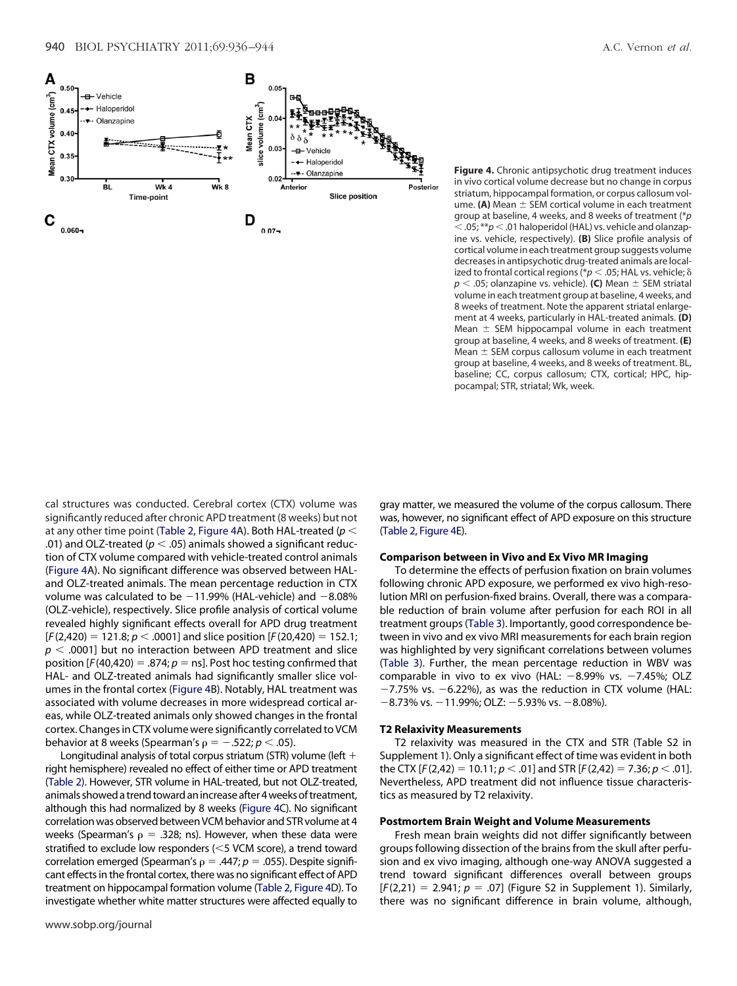**Figure 4.** Chronic antipsychotic drug treatment induces in vivo cortical volume decrease but no change in corpus striatum, hippocampal formation, or corpus callosum volume. (A) Mean  $\pm$  SEM cortical volume in each treatment group at baseline, 4 weeks, and 8 weeks of treatment (\**p*  $<$ .05; \*\* $p$   $<$ .01 haloperidol (HAL) vs. vehicle and olanzapine vs. vehicle, respectively). **(B)** Slice profile analysis of cortical volume in each treatment group suggests volume decreases in antipsychotic drug-treated animals are localized to frontal cortical regions ( $p < .05$ ; HAL vs. vehicle;  $\delta$  $p < .05$ ; olanzapine vs. vehicle). **(C)** Mean  $\pm$  SEM striatal volume in each treatment group at baseline, 4 weeks, and 8 weeks of treatment. Note the apparent striatal enlargement at 4 weeks, particularly in HAL-treated animals. **(D)** Mean  $\pm$  SEM hippocampal volume in each treatment group at baseline, 4 weeks, and 8 weeks of treatment. **(E)** Mean  $\pm$  SEM corpus callosum volume in each treatment group at baseline, 4 weeks, and 8 weeks of treatment. BL, baseline; CC, corpus callosum; CTX, cortical; HPC, hippocampal; STR, striatal; Wk, week.

cal structures was conducted. Cerebral cortex (CTX) volume was significantly reduced after chronic APD treatment (8 weeks) but not at any other time point (Table 2, Figure 4A). Both HAL-treated (*p* .01) and OLZ-treated ( $p <$  .05) animals showed a significant reduction of CTX volume compared with vehicle-treated control animals (Figure 4A). No significant difference was observed between HALand OLZ-treated animals. The mean percentage reduction in CTX volume was calculated to be  $-11.99%$  (HAL-vehicle) and  $-8.08%$ (OLZ-vehicle), respectively. Slice profile analysis of cortical volume revealed highly significant effects overall for APD drug treatment  $[F(2,420) = 121.8; p < .0001]$  and slice position  $[F(20,420) = 152.1;$  $p < .0001$ ] but no interaction between APD treatment and slice position  $[F(40, 420) = .874; p = ns]$ . Post hoc testing confirmed that HAL- and OLZ-treated animals had significantly smaller slice volumes in the frontal cortex (Figure 4B). Notably, HAL treatment was associated with volume decreases in more widespread cortical areas, while OLZ-treated animals only showed changes in the frontal cortex. Changes in CTX volume were significantly correlated to VCM behavior at 8 weeks (Spearman's  $\rho = -.522; p < .05$ ).

Longitudinal analysis of total corpus striatum (STR) volume (left  $+$ right hemisphere) revealed no effect of either time or APD treatment (Table 2). However, STR volume in HAL-treated, but not OLZ-treated, animals showed a trend toward an increase after 4 weeks of treatment, although this had normalized by 8 weeks (Figure 4C). No significant correlation was observed between VCM behavior and STR volume at 4 weeks (Spearman's  $\rho = .328$ ; ns). However, when these data were stratified to exclude low responders (<5 VCM score), a trend toward correlation emerged (Spearman's  $\rho = .447$ ;  $p = .055$ ). Despite significant effects in the frontal cortex, there was no significant effect of APD treatment on hippocampal formation volume (Table 2, Figure 4D). To investigate whether white matter structures were affected equally to

gray matter, we measured the volume of the corpus callosum. There was, however, no significant effect of APD exposure on this structure (Table 2, Figure 4E).

#### **Comparison between in Vivo and Ex Vivo MR Imaging**

To determine the effects of perfusion fixation on brain volumes following chronic APD exposure, we performed ex vivo high-resolution MRI on perfusion-fixed brains. Overall, there was a comparable reduction of brain volume after perfusion for each ROI in all treatment groups (Table 3). Importantly, good correspondence between in vivo and ex vivo MRI measurements for each brain region was highlighted by very significant correlations between volumes (Table 3). Further, the mean percentage reduction in WBV was comparable in vivo to ex vivo (HAL:  $-8.99\%$  vs.  $-7.45\%$ ; OLZ  $-7.75\%$  vs.  $-6.22\%$ ), as was the reduction in CTX volume (HAL:  $-8.73\%$  vs.  $-11.99\%$ ; OLZ:  $-5.93\%$  vs.  $-8.08\%$ ).

#### **T2 Relaxivity Measurements**

T2 relaxivity was measured in the CTX and STR (Table S2 in Supplement 1). Only a significant effect of time was evident in both the CTX  $[F(2,42) = 10.11; p < .01]$  and STR  $[F(2,42) = 7.36; p < .01]$ . Nevertheless, APD treatment did not influence tissue characteristics as measured by T2 relaxivity.

# **Postmortem Brain Weight and Volume Measurements**

Fresh mean brain weights did not differ significantly between groups following dissection of the brains from the skull after perfusion and ex vivo imaging, although one-way ANOVA suggested a trend toward significant differences overall between groups  $[F(2,21) = 2.941; p = .07]$  (Figure S2 in Supplement 1). Similarly, there was no significant difference in brain volume, although,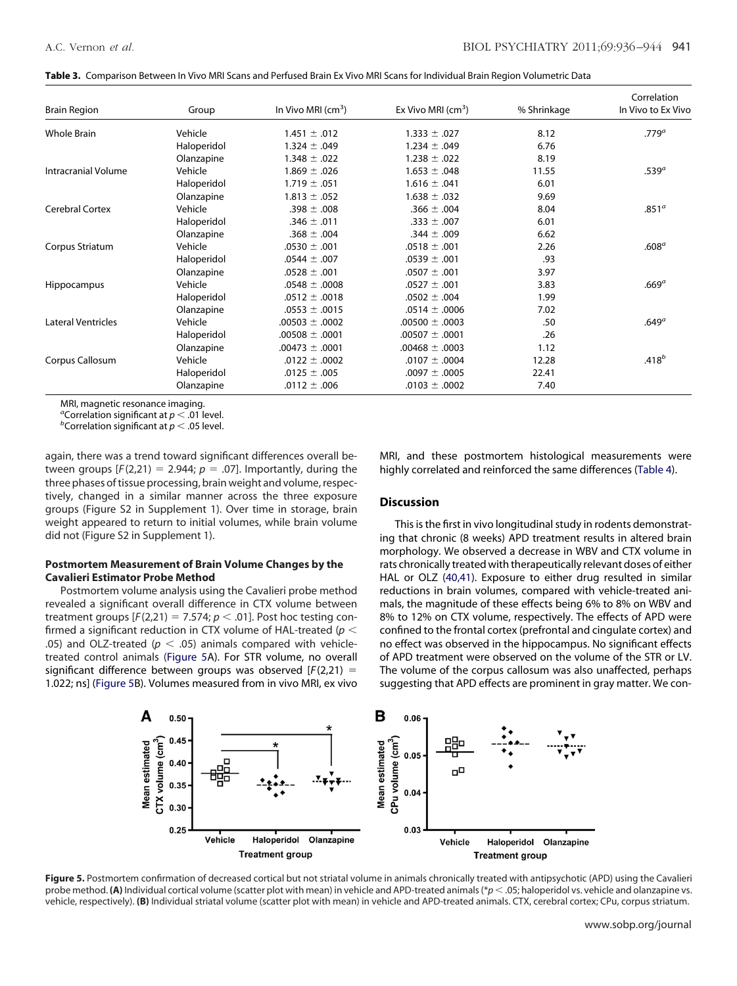|  |  |  | Table 3. Comparison Between In Vivo MRI Scans and Perfused Brain Ex Vivo MRI Scans for Individual Brain Region Volumetric Data |  |
|--|--|--|--------------------------------------------------------------------------------------------------------------------------------|--|
|--|--|--|--------------------------------------------------------------------------------------------------------------------------------|--|

| <b>Brain Region</b>       | Group       | In Vivo MRI $\rm (cm^3)$ | Ex Vivo MRI $(cm^3)$ | % Shrinkage | Correlation<br>In Vivo to Ex Vivo |
|---------------------------|-------------|--------------------------|----------------------|-------------|-----------------------------------|
| <b>Whole Brain</b>        | Vehicle     | $1.451 \pm .012$         | $1.333 \pm .027$     | 8.12        | .779 <sup>a</sup>                 |
|                           | Haloperidol | $1.324 \pm .049$         | $1.234 \pm .049$     | 6.76        |                                   |
|                           | Olanzapine  | $1.348 \pm .022$         | $1.238 \pm .022$     | 8.19        |                                   |
| Intracranial Volume       | Vehicle     | $1.869 \pm .026$         | $1.653 \pm .048$     | 11.55       | .539 <sup>a</sup>                 |
|                           | Haloperidol | $1.719 \pm .051$         | $1.616 \pm .041$     | 6.01        |                                   |
|                           | Olanzapine  | $1.813 \pm .052$         | $1.638 \pm .032$     | 9.69        |                                   |
| <b>Cerebral Cortex</b>    | Vehicle     | $.398 \pm .008$          | $.366 \pm .004$      | 8.04        | .851 <sup>a</sup>                 |
|                           | Haloperidol | $.346 \pm .011$          | $.333 \pm .007$      | 6.01        |                                   |
|                           | Olanzapine  | $.368 \pm .004$          | $.344 \pm .009$      | 6.62        |                                   |
| Corpus Striatum           | Vehicle     | $.0530 \pm .001$         | $.0518 \pm .001$     | 2.26        | .608 <sup>a</sup>                 |
|                           | Haloperidol | $.0544 \pm .007$         | $.0539 \pm .001$     | .93         |                                   |
|                           | Olanzapine  | $.0528 \pm .001$         | $.0507 \pm .001$     | 3.97        |                                   |
| Hippocampus               | Vehicle     | $.0548 \pm .0008$        | $.0527 \pm .001$     | 3.83        | .669 <sup>a</sup>                 |
|                           | Haloperidol | $.0512 \pm .0018$        | $.0502 \pm .004$     | 1.99        |                                   |
|                           | Olanzapine  | $.0553 \pm .0015$        | .0514 $\pm$ .0006    | 7.02        |                                   |
| <b>Lateral Ventricles</b> | Vehicle     | $.00503 \pm .0002$       | $.00500 \pm .0003$   | .50         | .649 <sup>a</sup>                 |
|                           | Haloperidol | $.00508 \pm .0001$       | $.00507 \pm .0001$   | .26         |                                   |
|                           | Olanzapine  | $.00473 \pm .0001$       | $.00468 \pm .0003$   | 1.12        |                                   |
| Corpus Callosum           | Vehicle     | $.0122 \pm .0002$        | $.0107 \pm .0004$    | 12.28       | $.418^{b}$                        |
|                           | Haloperidol | $.0125 \pm .005$         | $.0097 \pm .0005$    | 22.41       |                                   |
|                           | Olanzapine  | $.0112 \pm .006$         | $.0103 \pm .0002$    | 7.40        |                                   |

MRI, magnetic resonance imaging.

*a*Correlation significant at *p*  $\leq$  .01 level.

<sup>b</sup>Correlation significant at  $p < .05$  level.

again, there was a trend toward significant differences overall between groups  $[F(2,21) = 2.944; p = .07]$ . Importantly, during the three phases of tissue processing, brain weight and volume, respectively, changed in a similar manner across the three exposure groups (Figure S2 in Supplement 1). Over time in storage, brain weight appeared to return to initial volumes, while brain volume did not (Figure S2 in Supplement 1).

# **Postmortem Measurement of Brain Volume Changes by the Cavalieri Estimator Probe Method**

Postmortem volume analysis using the Cavalieri probe method revealed a significant overall difference in CTX volume between treatment groups  $[F(2,21) = 7.574; p < .01]$ . Post hoc testing confirmed a significant reduction in CTX volume of HAL-treated (*p* .05) and OLZ-treated ( $p < .05$ ) animals compared with vehicletreated control animals (Figure 5A). For STR volume, no overall significant difference between groups was observed [*F*(2,21) 1.022; ns] (Figure 5B). Volumes measured from in vivo MRI, ex vivo MRI, and these postmortem histological measurements were highly correlated and reinforced the same differences (Table 4).

# **Discussion**

This is the first in vivo longitudinal study in rodents demonstrating that chronic (8 weeks) APD treatment results in altered brain morphology. We observed a decrease in WBV and CTX volume in rats chronically treated with therapeutically relevant doses of either HAL or OLZ (40,41). Exposure to either drug resulted in similar reductions in brain volumes, compared with vehicle-treated animals, the magnitude of these effects being 6% to 8% on WBV and 8% to 12% on CTX volume, respectively. The effects of APD were confined to the frontal cortex (prefrontal and cingulate cortex) and no effect was observed in the hippocampus. No significant effects of APD treatment were observed on the volume of the STR or LV. The volume of the corpus callosum was also unaffected, perhaps suggesting that APD effects are prominent in gray matter. We con-



Figure 5. Postmortem confirmation of decreased cortical but not striatal volume in animals chronically treated with antipsychotic (APD) using the Cavalieri probe method. **(A)** Individual cortical volume (scatter plot with mean) in vehicle and APD-treated animals (\*p < .05; haloperidol vs. vehicle and olanzapine vs. vehicle, respectively). **(B)** Individual striatal volume (scatter plot with mean) in vehicle and APD-treated animals. CTX, cerebral cortex; CPu, corpus striatum.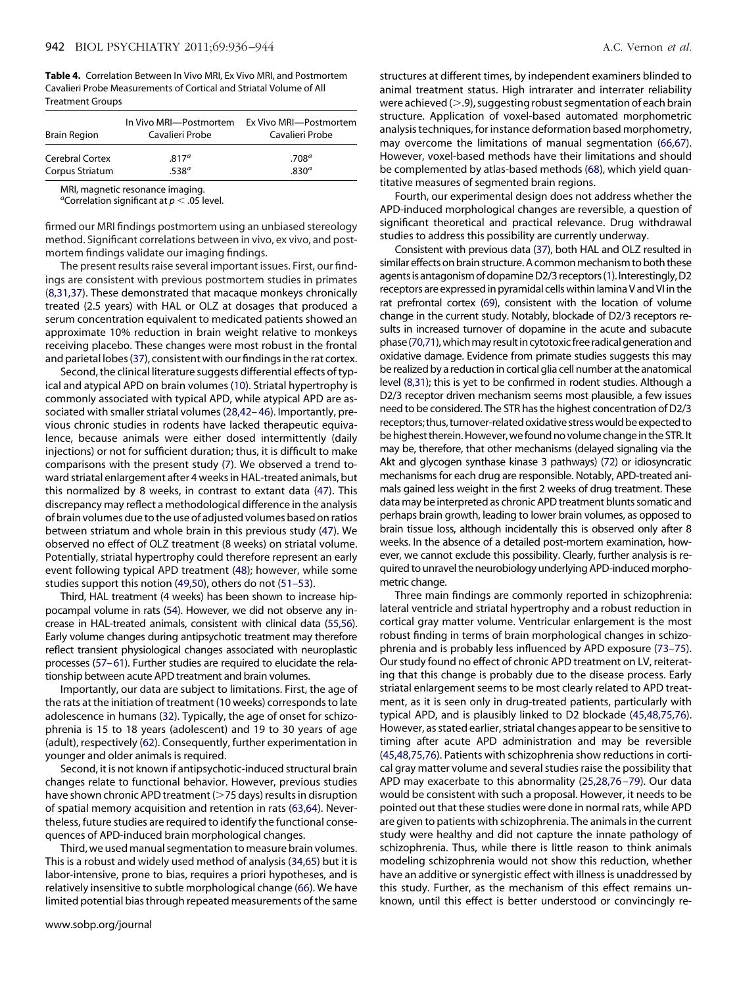**Table 4.** Correlation Between In Vivo MRI, Ex Vivo MRI, and Postmortem Cavalieri Probe Measurements of Cortical and Striatal Volume of All Treatment Groups

| <b>Brain Region</b>    | In Vivo MRI-Postmortem<br>Cavalieri Probe | Ex Vivo MRI—Postmortem<br>Cavalieri Probe |
|------------------------|-------------------------------------------|-------------------------------------------|
| <b>Cerebral Cortex</b> | .817 <sup>a</sup>                         | .708 <sup>a</sup>                         |
| Corpus Striatum        | .538 <sup>a</sup>                         | .830 <sup>a</sup>                         |

MRI, magnetic resonance imaging.

*a* Correlation significant at *p* .05 level.

firmed our MRI findings postmortem using an unbiased stereology method. Significant correlations between in vivo, ex vivo, and postmortem findings validate our imaging findings.

The present results raise several important issues. First, our findings are consistent with previous postmortem studies in primates (8,31,37). These demonstrated that macaque monkeys chronically treated (2.5 years) with HAL or OLZ at dosages that produced a serum concentration equivalent to medicated patients showed an approximate 10% reduction in brain weight relative to monkeys receiving placebo. These changes were most robust in the frontal and parietal lobes (37), consistent with our findings in the rat cortex.

Second, the clinical literature suggests differential effects of typical and atypical APD on brain volumes (10). Striatal hypertrophy is commonly associated with typical APD, while atypical APD are associated with smaller striatal volumes (28,42– 46). Importantly, previous chronic studies in rodents have lacked therapeutic equivalence, because animals were either dosed intermittently (daily injections) or not for sufficient duration; thus, it is difficult to make comparisons with the present study (7). We observed a trend toward striatal enlargement after 4 weeks in HAL-treated animals, but this normalized by 8 weeks, in contrast to extant data (47). This discrepancy may reflect a methodological difference in the analysis of brain volumes due to the use of adjusted volumes based on ratios between striatum and whole brain in this previous study (47). We observed no effect of OLZ treatment (8 weeks) on striatal volume. Potentially, striatal hypertrophy could therefore represent an early event following typical APD treatment (48); however, while some studies support this notion (49,50), others do not (51–53).

Third, HAL treatment (4 weeks) has been shown to increase hippocampal volume in rats (54). However, we did not observe any increase in HAL-treated animals, consistent with clinical data (55,56). Early volume changes during antipsychotic treatment may therefore reflect transient physiological changes associated with neuroplastic processes (57–61). Further studies are required to elucidate the relationship between acute APD treatment and brain volumes.

Importantly, our data are subject to limitations. First, the age of the rats at the initiation of treatment (10 weeks) corresponds to late adolescence in humans (32). Typically, the age of onset for schizophrenia is 15 to 18 years (adolescent) and 19 to 30 years of age (adult), respectively (62). Consequently, further experimentation in younger and older animals is required.

Second, it is not known if antipsychotic-induced structural brain changes relate to functional behavior. However, previous studies have shown chronic APD treatment (75 days) results in disruption of spatial memory acquisition and retention in rats (63,64). Nevertheless, future studies are required to identify the functional consequences of APD-induced brain morphological changes.

Third, we used manual segmentation to measure brain volumes. This is a robust and widely used method of analysis (34,65) but it is labor-intensive, prone to bias, requires a priori hypotheses, and is relatively insensitive to subtle morphological change (66). We have limited potential bias through repeated measurements of the same

structures at different times, by independent examiners blinded to animal treatment status. High intrarater and interrater reliability were achieved  $(> 0.9)$ , suggesting robust segmentation of each brain structure. Application of voxel-based automated morphometric analysis techniques, for instance deformation based morphometry, may overcome the limitations of manual segmentation (66,67). However, voxel-based methods have their limitations and should be complemented by atlas-based methods (68), which yield quantitative measures of segmented brain regions.

Fourth, our experimental design does not address whether the APD-induced morphological changes are reversible, a question of significant theoretical and practical relevance. Drug withdrawal studies to address this possibility are currently underway.

Consistent with previous data (37), both HAL and OLZ resulted in similar effects on brain structure. A common mechanism to both these agents is antagonism of dopamine D2/3 receptors (1). Interestingly, D2 receptors are expressed in pyramidal cells within lamina V and VI in the rat prefrontal cortex (69), consistent with the location of volume change in the current study. Notably, blockade of D2/3 receptors results in increased turnover of dopamine in the acute and subacute phase (70,71), which may result in cytotoxic free radical generation and oxidative damage. Evidence from primate studies suggests this may be realized by a reduction in cortical glia cell number at the anatomical level (8,31); this is yet to be confirmed in rodent studies. Although a D2/3 receptor driven mechanism seems most plausible, a few issues need to be considered. The STR has the highest concentration of D2/3 receptors; thus, turnover-related oxidative stress would be expected to be highest therein. However, we found no volume change in the STR. It may be, therefore, that other mechanisms (delayed signaling via the Akt and glycogen synthase kinase 3 pathways) (72) or idiosyncratic mechanisms for each drug are responsible. Notably, APD-treated animals gained less weight in the first 2 weeks of drug treatment. These data may be interpreted as chronic APD treatment blunts somatic and perhaps brain growth, leading to lower brain volumes, as opposed to brain tissue loss, although incidentally this is observed only after 8 weeks. In the absence of a detailed post-mortem examination, however, we cannot exclude this possibility. Clearly, further analysis is required to unravel the neurobiology underlying APD-inducedmorphometric change.

Three main findings are commonly reported in schizophrenia: lateral ventricle and striatal hypertrophy and a robust reduction in cortical gray matter volume. Ventricular enlargement is the most robust finding in terms of brain morphological changes in schizophrenia and is probably less influenced by APD exposure (73–75). Our study found no effect of chronic APD treatment on LV, reiterating that this change is probably due to the disease process. Early striatal enlargement seems to be most clearly related to APD treatment, as it is seen only in drug-treated patients, particularly with typical APD, and is plausibly linked to D2 blockade (45,48,75,76). However, as stated earlier, striatal changes appear to be sensitive to timing after acute APD administration and may be reversible (45,48,75,76). Patients with schizophrenia show reductions in cortical gray matter volume and several studies raise the possibility that APD may exacerbate to this abnormality (25,28,76 –79). Our data would be consistent with such a proposal. However, it needs to be pointed out that these studies were done in normal rats, while APD are given to patients with schizophrenia. The animals in the current study were healthy and did not capture the innate pathology of schizophrenia. Thus, while there is little reason to think animals modeling schizophrenia would not show this reduction, whether have an additive or synergistic effect with illness is unaddressed by this study. Further, as the mechanism of this effect remains unknown, until this effect is better understood or convincingly re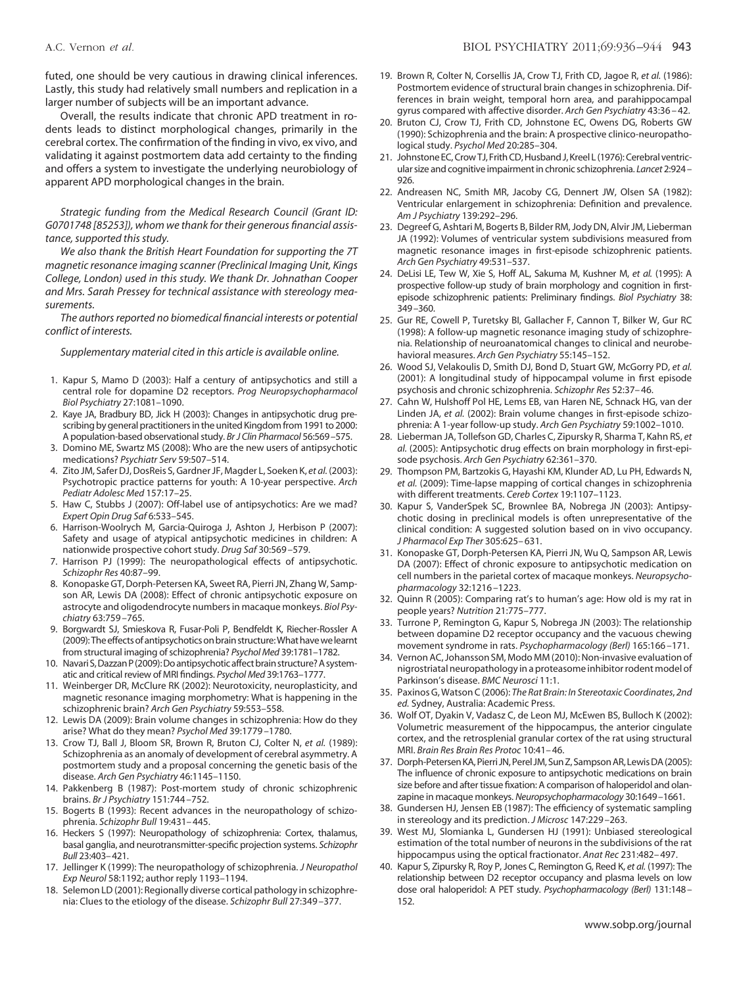futed, one should be very cautious in drawing clinical inferences. Lastly, this study had relatively small numbers and replication in a larger number of subjects will be an important advance.

Overall, the results indicate that chronic APD treatment in rodents leads to distinct morphological changes, primarily in the cerebral cortex. The confirmation of the finding in vivo, ex vivo, and validating it against postmortem data add certainty to the finding and offers a system to investigate the underlying neurobiology of apparent APD morphological changes in the brain.

*Strategic funding from the Medical Research Council (Grant ID: G0701748 [85253]), whom we thank for their generous financial assistance, supported this study.*

*We also thank the British Heart Foundation for supporting the 7T magnetic resonance imaging scanner (Preclinical Imaging Unit, Kings College, London) used in this study. We thank Dr. Johnathan Cooper and Mrs. Sarah Pressey for technical assistance with stereology measurements.*

*The authors reported no biomedical financial interests or potential conflict of interests.*

*Supplementary material cited in this article is available online.*

- 1. Kapur S, Mamo D (2003): Half a century of antipsychotics and still a central role for dopamine D2 receptors. *Prog Neuropsychopharmacol Biol Psychiatry* 27:1081–1090.
- 2. Kaye JA, Bradbury BD, Jick H (2003): Changes in antipsychotic drug prescribing by general practitioners in the united Kingdom from 1991 to 2000: A population-based observational study. *Br J Clin Pharmacol* 56:569 –575.
- 3. Domino ME, Swartz MS (2008): Who are the new users of antipsychotic medications? *Psychiatr Serv* 59:507–514.
- 4. Zito JM, Safer DJ, DosReis S, Gardner JF, Magder L, Soeken K, *et al.* (2003): Psychotropic practice patterns for youth: A 10-year perspective. *Arch Pediatr Adolesc Med* 157:17–25.
- 5. Haw C, Stubbs J (2007): Off-label use of antipsychotics: Are we mad? *Expert Opin Drug Saf* 6:533–545.
- 6. Harrison-Woolrych M, Garcia-Quiroga J, Ashton J, Herbison P (2007): Safety and usage of atypical antipsychotic medicines in children: A nationwide prospective cohort study. *Drug Saf* 30:569 –579.
- 7. Harrison PJ (1999): The neuropathological effects of antipsychotic. *Schizophr Res* 40:87–99.
- 8. Konopaske GT, Dorph-Petersen KA, Sweet RA, Pierri JN, Zhang W, Sampson AR, Lewis DA (2008): Effect of chronic antipsychotic exposure on astrocyte and oligodendrocyte numbers in macaque monkeys. *Biol Psychiatry* 63:759 –765.
- 9. Borgwardt SJ, Smieskova R, Fusar-Poli P, Bendfeldt K, Riecher-Rossler A (2009): The effects of antipsychotics on brain structure: What have we learnt from structural imaging of schizophrenia? *Psychol Med* 39:1781–1782.
- 10. Navari S, Dazzan P (2009): Do antipsychotic affect brain structure? A systematic and critical review of MRI findings. *Psychol Med* 39:1763–1777.
- 11. Weinberger DR, McClure RK (2002): Neurotoxicity, neuroplasticity, and magnetic resonance imaging morphometry: What is happening in the schizophrenic brain? *Arch Gen Psychiatry* 59:553–558.
- 12. Lewis DA (2009): Brain volume changes in schizophrenia: How do they arise? What do they mean? *Psychol Med* 39:1779 –1780.
- 13. Crow TJ, Ball J, Bloom SR, Brown R, Bruton CJ, Colter N, *et al.* (1989): Schizophrenia as an anomaly of development of cerebral asymmetry. A postmortem study and a proposal concerning the genetic basis of the disease. *Arch Gen Psychiatry* 46:1145–1150.
- 14. Pakkenberg B (1987): Post-mortem study of chronic schizophrenic brains. *Br J Psychiatry* 151:744 –752.
- 15. Bogerts B (1993): Recent advances in the neuropathology of schizophrenia. *Schizophr Bull* 19:431– 445.
- 16. Heckers S (1997): Neuropathology of schizophrenia: Cortex, thalamus, basal ganglia, and neurotransmitter-specific projection systems. *Schizophr Bull* 23:403–421.
- 17. Jellinger K (1999): The neuropathology of schizophrenia. *J Neuropathol Exp Neurol* 58:1192; author reply 1193–1194.
- 18. Selemon LD (2001): Regionally diverse cortical pathology in schizophrenia: Clues to the etiology of the disease. *Schizophr Bull* 27:349 –377.
- 19. Brown R, Colter N, Corsellis JA, Crow TJ, Frith CD, Jagoe R, *et al.* (1986): Postmortem evidence of structural brain changes in schizophrenia. Differences in brain weight, temporal horn area, and parahippocampal gyrus compared with affective disorder. *Arch Gen Psychiatry* 43:36 – 42.
- 20. Bruton CJ, Crow TJ, Frith CD, Johnstone EC, Owens DG, Roberts GW (1990): Schizophrenia and the brain: A prospective clinico-neuropathological study. *Psychol Med* 20:285–304.
- 21. Johnstone EC, Crow TJ, Frith CD, Husband J, Kreel L (1976): Cerebral ventricular size and cognitive impairment in chronic schizophrenia. *Lancet* 2:924 – 926.
- 22. Andreasen NC, Smith MR, Jacoby CG, Dennert JW, Olsen SA (1982): Ventricular enlargement in schizophrenia: Definition and prevalence. *Am J Psychiatry* 139:292–296.
- 23. Degreef G, Ashtari M, Bogerts B, Bilder RM, Jody DN, Alvir JM, Lieberman JA (1992): Volumes of ventricular system subdivisions measured from magnetic resonance images in first-episode schizophrenic patients. *Arch Gen Psychiatry* 49:531–537.
- 24. DeLisi LE, Tew W, Xie S, Hoff AL, Sakuma M, Kushner M, *et al.* (1995): A prospective follow-up study of brain morphology and cognition in firstepisode schizophrenic patients: Preliminary findings. *Biol Psychiatry* 38: 349 –360.
- 25. Gur RE, Cowell P, Turetsky BI, Gallacher F, Cannon T, Bilker W, Gur RC (1998): A follow-up magnetic resonance imaging study of schizophrenia. Relationship of neuroanatomical changes to clinical and neurobehavioral measures. *Arch Gen Psychiatry* 55:145–152.
- 26. Wood SJ, Velakoulis D, Smith DJ, Bond D, Stuart GW, McGorry PD, *et al.* (2001): A longitudinal study of hippocampal volume in first episode psychosis and chronic schizophrenia. *Schizophr Res* 52:37– 46.
- 27. Cahn W, Hulshoff Pol HE, Lems EB, van Haren NE, Schnack HG, van der Linden JA, *et al.* (2002): Brain volume changes in first-episode schizophrenia: A 1-year follow-up study. *Arch Gen Psychiatry* 59:1002–1010.
- 28. Lieberman JA, Tollefson GD, Charles C, Zipursky R, Sharma T, Kahn RS, *et al.* (2005): Antipsychotic drug effects on brain morphology in first-episode psychosis. *Arch Gen Psychiatry* 62:361–370.
- 29. Thompson PM, Bartzokis G, Hayashi KM, Klunder AD, Lu PH, Edwards N, *et al.* (2009): Time-lapse mapping of cortical changes in schizophrenia with different treatments. *Cereb Cortex* 19:1107–1123.
- 30. Kapur S, VanderSpek SC, Brownlee BA, Nobrega JN (2003): Antipsychotic dosing in preclinical models is often unrepresentative of the clinical condition: A suggested solution based on in vivo occupancy. *J Pharmacol Exp Ther* 305:625– 631.
- 31. Konopaske GT, Dorph-Petersen KA, Pierri JN, Wu Q, Sampson AR, Lewis DA (2007): Effect of chronic exposure to antipsychotic medication on cell numbers in the parietal cortex of macaque monkeys. *Neuropsychopharmacology* 32:1216 –1223.
- 32. Quinn R (2005): Comparing rat's to human's age: How old is my rat in people years? *Nutrition* 21:775–777.
- 33. Turrone P, Remington G, Kapur S, Nobrega JN (2003): The relationship between dopamine D2 receptor occupancy and the vacuous chewing movement syndrome in rats. *Psychopharmacology (Berl)* 165:166 –171.
- 34. Vernon AC, Johansson SM, Modo MM (2010): Non-invasive evaluation of nigrostriatal neuropathology in a proteasome inhibitor rodent model of Parkinson's disease. *BMC Neurosci* 11:1.
- 35. Paxinos G, Watson C (2006): *The Rat Brain: In Stereotaxic Coordinates*, *2nd ed.* Sydney, Australia: Academic Press.
- 36. Wolf OT, Dyakin V, Vadasz C, de Leon MJ, McEwen BS, Bulloch K (2002): Volumetric measurement of the hippocampus, the anterior cingulate cortex, and the retrosplenial granular cortex of the rat using structural MRI. *Brain Res Brain Res Protoc* 10:41– 46.
- 37. Dorph-Petersen KA, Pierri JN, Perel JM, Sun Z, Sampson AR, Lewis DA (2005): The influence of chronic exposure to antipsychotic medications on brain size before and after tissue fixation: A comparison of haloperidol and olanzapine in macaque monkeys. *Neuropsychopharmacology* 30:1649 –1661.
- 38. Gundersen HJ, Jensen EB (1987): The efficiency of systematic sampling in stereology and its prediction. *J Microsc* 147:229 –263.
- 39. West MJ, Slomianka L, Gundersen HJ (1991): Unbiased stereological estimation of the total number of neurons in the subdivisions of the rat hippocampus using the optical fractionator. *Anat Rec* 231:482– 497.
- 40. Kapur S, Zipursky R, Roy P, Jones C, Remington G, Reed K, *et al.* (1997): The relationship between D2 receptor occupancy and plasma levels on low dose oral haloperidol: A PET study. *Psychopharmacology (Berl)* 131:148 – 152.